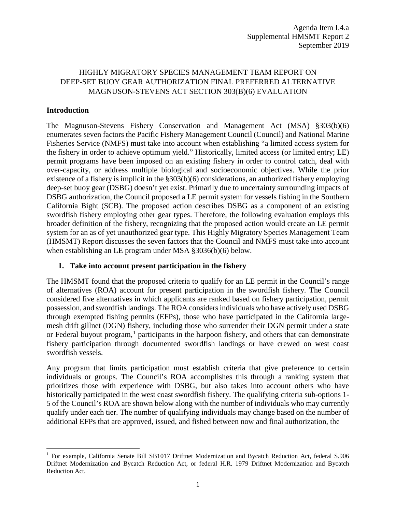# HIGHLY MIGRATORY SPECIES MANAGEMENT TEAM REPORT ON DEEP-SET BUOY GEAR AUTHORIZATION FINAL PREFERRED ALTERNATIVE MAGNUSON-STEVENS ACT SECTION 303(B)(6) EVALUATION

### **Introduction**

The Magnuson-Stevens Fishery Conservation and Management Act (MSA) §303(b)(6) enumerates seven factors the Pacific Fishery Management Council (Council) and National Marine Fisheries Service (NMFS) must take into account when establishing "a limited access system for the fishery in order to achieve optimum yield." Historically, limited access (or limited entry; LE) permit programs have been imposed on an existing fishery in order to control catch, deal with over-capacity, or address multiple biological and socioeconomic objectives. While the prior existence of a fishery is implicit in the §303(b)(6) considerations, an authorized fishery employing deep-set buoy gear (DSBG) doesn't yet exist. Primarily due to uncertainty surrounding impacts of DSBG authorization, the Council proposed a LE permit system for vessels fishing in the Southern California Bight (SCB). The proposed action describes DSBG as a component of an existing swordfish fishery employing other gear types. Therefore, the following evaluation employs this broader definition of the fishery, recognizing that the proposed action would create an LE permit system for an as of yet unauthorized gear type. This Highly Migratory Species Management Team (HMSMT) Report discusses the seven factors that the Council and NMFS must take into account when establishing an LE program under MSA §3036(b)(6) below.

### **1. Take into account present participation in the fishery**

The HMSMT found that the proposed criteria to qualify for an LE permit in the Council's range of alternatives (ROA) account for present participation in the swordfish fishery. The Council considered five alternatives in which applicants are ranked based on fishery participation, permit possession, and swordfish landings. The ROA considers individuals who have actively used DSBG through exempted fishing permits (EFPs), those who have participated in the California largemesh drift gillnet (DGN) fishery, including those who surrender their DGN permit under a state or Federal buyout program, $<sup>1</sup>$  $<sup>1</sup>$  $<sup>1</sup>$  participants in the harpoon fishery, and others that can demonstrate</sup> fishery participation through documented swordfish landings or have crewed on west coast swordfish vessels.

Any program that limits participation must establish criteria that give preference to certain individuals or groups. The Council's ROA accomplishes this through a ranking system that prioritizes those with experience with DSBG, but also takes into account others who have historically participated in the west coast swordfish fishery. The qualifying criteria sub-options 1- 5 of the Council's ROA are shown below along with the number of individuals who may currently qualify under each tier. The number of qualifying individuals may change based on the number of additional EFPs that are approved, issued, and fished between now and final authorization, the

<span id="page-0-0"></span><sup>&</sup>lt;sup>1</sup> For example, California Senate Bill SB1017 Driftnet Modernization and Bycatch Reduction Act, federal S.906 Driftnet Modernization and Bycatch Reduction Act, or federal H.R. 1979 Driftnet Modernization and Bycatch Reduction Act.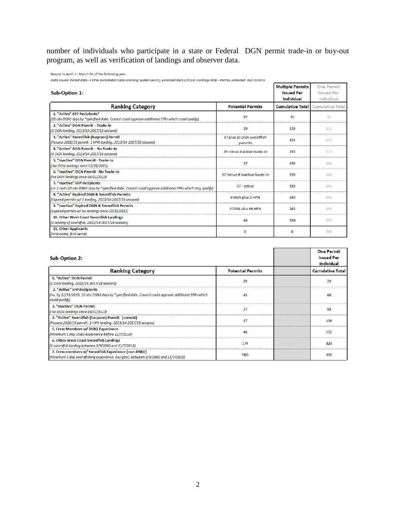number of individuals who participate in a state or Federal DGN permit trade-in or buy-out program, as well as verification of landings and observer data.

Season is April 1 - March 31 of the following year.

Data Source: Permit data - CDFW Automated Data Licensing System (ALDS), extracted 09/12/2019; Landings data - PacFIN, extracted 09/12/2019 **One Permit Multiple Permits** Sub-Option 1: **Issued Per Issued Per** Individual Individual **Potential Permits Cumulative Total Ranking Category Cumulative Total** 1. "Active" EFP Recipients\* 97 97 97 (10 obs DSBG days by \*specified date. Council could approve additional EFPs which could qualify) 2. "Active" DGN Permit - Trade-in 29 126  $111\,$ (1 DGN landing, 2013/14-2017/18 seasons) 3. "Active" Swordfish (harpoon) Permit 17 plus 10 DGN swordfish 153 117 (Possess 2018/19 permit, 1 HPN landing, 2013/14-2017/18 seasons) permits 4. "Active" DGN Permit - No Trade-In 29 minus # active trade-in 153 117 (1 DGN landing, 2013/14-2017/18 seasons) 5. "Inactive" DGN Permit - Trade-in 37 190 146 (No DGN landings since 03/31/2013) 6. "Inactive" DGN Permit - No Trade-In 37 minus # inactive trade-in 190 146 (No DGN landings since 03/31/2013) 7. "Inactive" EFP Recipients 97 - active 190 146 (>= 1 and <10 obs DSBG days by \*specified date. Council could approve additional EFPs which may qualify) 8. "Active" Expired DGN & Swordfish Permits 0 DGN plus 0 HPN 190 146 (Expired permits w/ 1 landing, 2013/14-2017/18 seasons) 9. "Inactive" Expired DGN & Swordfish Permits 6 DGN plus 66 HPN 262 209 (Expired permits w/ no landings since 03/31/2013) 10. Other West Coast Swordfish Landings 48 310 257 (1 landing of swordfish, 2013/14-2017/18 seasons) 11. Other Applicants  $\pmb{0}$  $\mathbf 0$ 300 (First-come, first-serve)

|                                                                                                       |                          | <b>One Permit</b>       |
|-------------------------------------------------------------------------------------------------------|--------------------------|-------------------------|
| <b>Sub-Option 2:</b>                                                                                  |                          | <b>Issued Per</b>       |
|                                                                                                       |                          | Individual              |
| <b>Ranking Category</b>                                                                               | <b>Potential Permits</b> | <b>Cumulative Total</b> |
| 1. "Active" DGN Permit                                                                                |                          |                         |
| (1 DGN landing, 2013/14-2017/18 seasons)                                                              | 29                       | 29                      |
| 2. "Active" EFP Recipients                                                                            |                          |                         |
| (Iss. by 12/31/2018, 10 obs DSBG days by *specified date. Council could approve additional EFPs which | 45                       | 66                      |
| could qualify)                                                                                        |                          |                         |
| 3. "Inactive" DGN Permit                                                                              | 37                       | 98                      |
| (No DGN landings since 03/31/2013)                                                                    |                          |                         |
| 4. "Active" Swordfish (harpoon) Permit (current)                                                      | 17                       |                         |
| (Possess 2018/19 permit, 1 HPN landing, 2013/14-2017/18 seasons)                                      |                          | 106                     |
| 5. Crew Members w/ DSBG Experience                                                                    | 46                       |                         |
| (Minimum 1 day DSBG experience before 11/7/2018)                                                      |                          | 152                     |
| 6. Other West Coast Swordfish Landings                                                                |                          |                         |
| (1 swordfish landing between 3/9/2000 and 11/7/2018)                                                  | 174                      | 323                     |
| 7. Crew members w/ Swordfish Experience (non-DSBG)                                                    |                          |                         |
| (Minimum 1 day swordfishing experience, any gear, between 3/9/2000 and 11/7/2018)                     | <b>TBD</b>               | 300                     |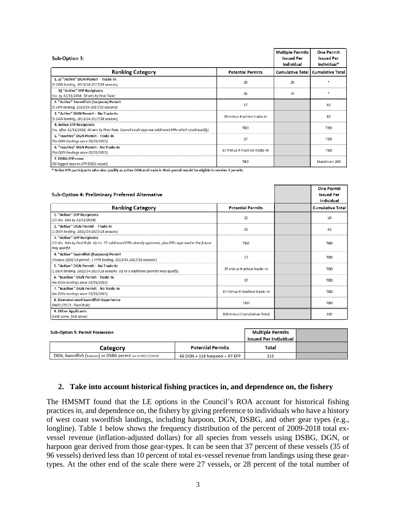| Sub-Option 3:                                                                                                                                | <b>Multiple Permits</b><br><b>Issued Per</b><br><b>Individual</b> | <b>One Permit</b><br><b>Issued Per</b><br>Individual* |                         |
|----------------------------------------------------------------------------------------------------------------------------------------------|-------------------------------------------------------------------|-------------------------------------------------------|-------------------------|
| <b>Ranking Category</b>                                                                                                                      | <b>Potential Permits</b>                                          | <b>Cumulative Total</b>                               | <b>Cumulative Total</b> |
| 1. a) "Active" DGN Permit - Trade-in<br>(1 DGN landing, 2013/14-2017/18 seasons)                                                             | 29                                                                | 29                                                    |                         |
| b) "Active" EFP Recipients<br>(Iss. by 12/31/2018, 30 sets by Final Rule)                                                                    | 45                                                                | 74                                                    |                         |
| 2. "Active" Swordfish (harpoon) Permit<br>(1 HPN landing, 2013/14-2017/18 seasons)                                                           | 17                                                                |                                                       | 82                      |
| 3. "Active" DGN Permit - No Trade-In<br>(1 DGN landing, 2013/14-2017/18 seasons)                                                             | 29 minus # active trade-in                                        |                                                       | 82                      |
| <b>4. Active EFP Recipients</b><br>(Iss. after 12/31/2018, 30 sets by Final Rule. Council could approve additional EFPs which could qualify) | <b>TBD</b>                                                        |                                                       | <b>TBD</b>              |
| 5. "Inactive" DGN Permit - Trade-In<br>(No DGN landings since 03/31/2013)                                                                    | 37                                                                |                                                       | <b>TBD</b>              |
| 6. "Inactive" DGN Permit - No Trade-In<br>(No DGN landings since 03/31/2013)                                                                 | 37 minus # inactive trade-in                                      |                                                       | <b>TBD</b>              |
| 7. DSBG EFP crew<br>(50 logged days on EFP DSBG vessel)                                                                                      | <b>TBD</b>                                                        |                                                       | Maximum 200             |

\* Active EFP participants who also qualify as active DGN and trade in their permit would be eligible to receive 2 permits

| Sub-Option 4: Preliminary Preferred Alternative                                                                                                        |                              | <b>One Permit</b><br><b>Issued Per</b><br><b>Individual</b> |
|--------------------------------------------------------------------------------------------------------------------------------------------------------|------------------------------|-------------------------------------------------------------|
| <b>Ranking Category</b>                                                                                                                                | <b>Potential Permits</b>     | <b>Cumulative Total</b>                                     |
| 1. "Active" EFP Recipients<br>(10 obs. Sets by 12/31/2018)                                                                                             | 20                           | 20                                                          |
| 2. "Active" DGN Permit - Trade-in<br>(1 DGN landing, 2013/14-2017/18 seasons)                                                                          | 29                           | 43                                                          |
| 3. "Active" EFP Recipients<br>(10 obs. Sets by Final Rule. Up to 77 additional EFPs already approved, plus EFPs approved in the future<br>may qualify) | <b>TBD</b>                   | <b>TBD</b>                                                  |
| 4. "Active" Swordfish (harpoon) Permit<br>(Possess 2018/19 permit, 1 HPN landing, 2013/14-2017/18 seasons)                                             | 17                           | <b>TBD</b>                                                  |
| 5. "Active" DGN Permit - No Trade-In<br>(1 DGN landing, 2013/14-2017/18 seasons. Up to 5 additional permits may qualify)                               | 29 minus # active trade-in   | <b>TBD</b>                                                  |
| 6. "Inactive" DGN Permit - Trade-In<br>(No DGN landings since 03/31/2013)                                                                              | 37                           | <b>TBD</b>                                                  |
| 7. "Inactive" DGN Permit - No Trade-In<br>(No DGN landings since 03/31/2013)                                                                           | 37 minus # inactive trade-in | <b>TBD</b>                                                  |
| 8. Demonstrated Swordfish Experience<br>(04/01/2013 - Final Rule)                                                                                      | <b>TBD</b>                   | <b>TBD</b>                                                  |
| 9. Other Applicants<br>(First-come, first-serve)                                                                                                       | 300 minus Cumulative Total   | 300                                                         |

| <b>Sub-Option 5: Permit Possession</b>                     | <b>Multiple Permits</b><br><b>Issued Per Individual</b> |       |  |
|------------------------------------------------------------|---------------------------------------------------------|-------|--|
| Category                                                   | <b>Potential Permits</b>                                | Total |  |
| DGN, Swordfish (harpoon) or DSBG permit (as of 09/12/2019) | 66 DGN + 118 harpoon + 97 EFP                           | 215   |  |

#### **2. Take into account historical fishing practices in, and dependence on, the fishery**

The HMSMT found that the LE options in the Council's ROA account for historical fishing practices in, and dependence on, the fishery by giving preference to individuals who have a history of west coast swordfish landings, including harpoon, DGN, DSBG, and other gear types (e.g., longline). Table 1 below shows the frequency distribution of the percent of 2009-2018 total exvessel revenue (inflation-adjusted dollars) for all species from vessels using DSBG, DGN, or harpoon gear derived from those gear-types. It can be seen that 37 percent of these vessels (35 of 96 vessels) derived less than 10 percent of total ex-vessel revenue from landings using these geartypes. At the other end of the scale there were 27 vessels, or 28 percent of the total number of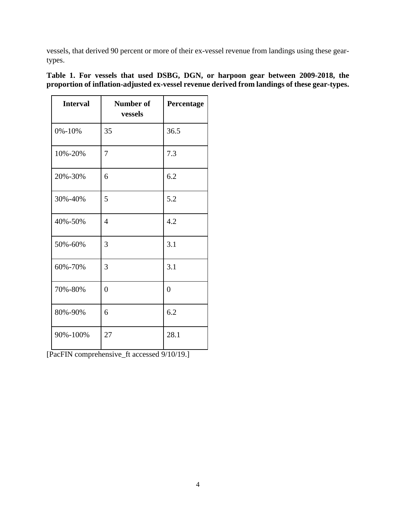vessels, that derived 90 percent or more of their ex-vessel revenue from landings using these geartypes.

| <b>Interval</b> | <b>Number of</b><br>vessels | Percentage     |
|-----------------|-----------------------------|----------------|
| $0\% - 10\%$    | 35                          | 36.5           |
| 10%-20%         | 7                           | 7.3            |
| 20%-30%         | 6                           | 6.2            |
| 30%-40%         | 5                           | 5.2            |
| 40%-50%         | $\overline{4}$              | 4.2            |
| 50%-60%         | 3                           | 3.1            |
| 60%-70%         | 3                           | 3.1            |
| 70%-80%         | $\overline{0}$              | $\overline{0}$ |
| 80%-90%         | 6                           | 6.2            |
| 90%-100%        | 27                          | 28.1           |

**Table 1. For vessels that used DSBG, DGN, or harpoon gear between 2009-2018, the proportion of inflation-adjusted ex-vessel revenue derived from landings of these gear-types.**

[PacFIN comprehensive\_ft accessed 9/10/19.]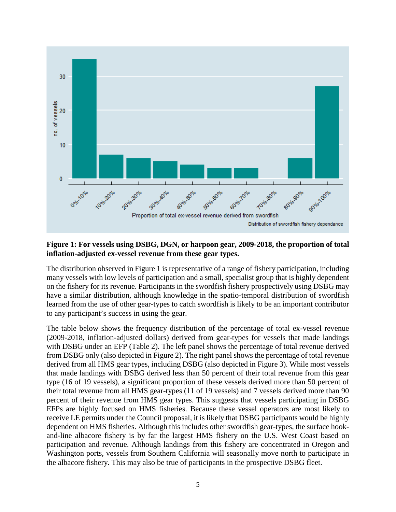

### **Figure 1: For vessels using DSBG, DGN, or harpoon gear, 2009-2018, the proportion of total inflation-adjusted ex-vessel revenue from these gear types.**

The distribution observed in Figure 1 is representative of a range of fishery participation, including many vessels with low levels of participation and a small, specialist group that is highly dependent on the fishery for its revenue. Participants in the swordfish fishery prospectively using DSBG may have a similar distribution, although knowledge in the spatio-temporal distribution of swordfish learned from the use of other gear-types to catch swordfish is likely to be an important contributor to any participant's success in using the gear.

The table below shows the frequency distribution of the percentage of total ex-vessel revenue (2009-2018, inflation-adjusted dollars) derived from gear-types for vessels that made landings with DSBG under an EFP (Table 2). The left panel shows the percentage of total revenue derived from DSBG only (also depicted in Figure 2). The right panel shows the percentage of total revenue derived from all HMS gear types, including DSBG (also depicted in Figure 3). While most vessels that made landings with DSBG derived less than 50 percent of their total revenue from this gear type (16 of 19 vessels), a significant proportion of these vessels derived more than 50 percent of their total revenue from all HMS gear-types (11 of 19 vessels) and 7 vessels derived more than 90 percent of their revenue from HMS gear types. This suggests that vessels participating in DSBG EFPs are highly focused on HMS fisheries. Because these vessel operators are most likely to receive LE permits under the Council proposal, it is likely that DSBG participants would be highly dependent on HMS fisheries. Although this includes other swordfish gear-types, the surface hookand-line albacore fishery is by far the largest HMS fishery on the U.S. West Coast based on participation and revenue. Although landings from this fishery are concentrated in Oregon and Washington ports, vessels from Southern California will seasonally move north to participate in the albacore fishery. This may also be true of participants in the prospective DSBG fleet.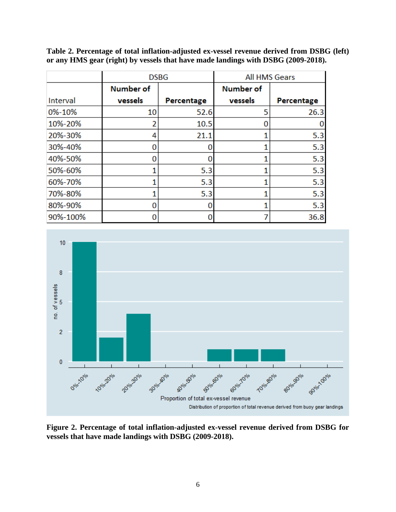|          | <b>DSBG</b>      |            | <b>All HMS Gears</b> |            |  |
|----------|------------------|------------|----------------------|------------|--|
|          | <b>Number of</b> |            | <b>Number of</b>     |            |  |
| Interval | vessels          | Percentage | vessels              | Percentage |  |
| 0%-10%   | 10               | 52.6       | 5                    | 26.3       |  |
| 10%-20%  |                  | 10.5       | 0                    |            |  |
| 20%-30%  | 4                | 21.1       |                      | 5.3        |  |
| 30%-40%  |                  |            |                      | 5.3        |  |
| 40%-50%  |                  |            |                      | 5.3        |  |
| 50%-60%  |                  | 5.3        |                      | 5.3        |  |
| 60%-70%  |                  | 5.3        |                      | 5.3        |  |
| 70%-80%  |                  | 5.3        |                      | 5.3        |  |
| 80%-90%  |                  |            |                      | 5.3        |  |
| 90%-100% |                  |            |                      | 36.8       |  |

**Table 2. Percentage of total inflation-adjusted ex-vessel revenue derived from DSBG (left) or any HMS gear (right) by vessels that have made landings with DSBG (2009-2018).**



**Figure 2. Percentage of total inflation-adjusted ex-vessel revenue derived from DSBG for vessels that have made landings with DSBG (2009-2018).**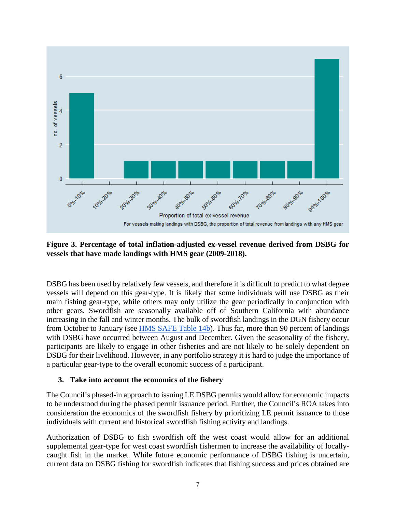

**Figure 3. Percentage of total inflation-adjusted ex-vessel revenue derived from DSBG for vessels that have made landings with HMS gear (2009-2018).**

DSBG has been used by relatively few vessels, and therefore it is difficult to predict to what degree vessels will depend on this gear-type. It is likely that some individuals will use DSBG as their main fishing gear-type, while others may only utilize the gear periodically in conjunction with other gears. Swordfish are seasonally available off of Southern California with abundance increasing in the fall and winter months. The bulk of swordfish landings in the DGN fishery occur from October to January (see **HMS SAFE Table 14b**). Thus far, more than 90 percent of landings with DSBG have occurred between August and December. Given the seasonality of the fishery, participants are likely to engage in other fisheries and are not likely to be solely dependent on DSBG for their livelihood. However, in any portfolio strategy it is hard to judge the importance of a particular gear-type to the overall economic success of a participant.

### **3. Take into account the economics of the fishery**

The Council's phased-in approach to issuing LE DSBG permits would allow for economic impacts to be understood during the phased permit issuance period. Further, the Council's ROA takes into consideration the economics of the swordfish fishery by prioritizing LE permit issuance to those individuals with current and historical swordfish fishing activity and landings.

Authorization of DSBG to fish swordfish off the west coast would allow for an additional supplemental gear-type for west coast swordfish fishermen to increase the availability of locallycaught fish in the market. While future economic performance of DSBG fishing is uncertain, current data on DSBG fishing for swordfish indicates that fishing success and prices obtained are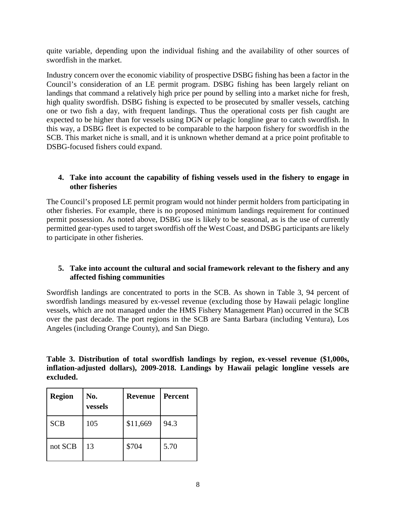quite variable, depending upon the individual fishing and the availability of other sources of swordfish in the market.

Industry concern over the economic viability of prospective DSBG fishing has been a factor in the Council's consideration of an LE permit program. DSBG fishing has been largely reliant on landings that command a relatively high price per pound by selling into a market niche for fresh, high quality swordfish. DSBG fishing is expected to be prosecuted by smaller vessels, catching one or two fish a day, with frequent landings. Thus the operational costs per fish caught are expected to be higher than for vessels using DGN or pelagic longline gear to catch swordfish. In this way, a DSBG fleet is expected to be comparable to the harpoon fishery for swordfish in the SCB. This market niche is small, and it is unknown whether demand at a price point profitable to DSBG-focused fishers could expand.

### **4. Take into account the capability of fishing vessels used in the fishery to engage in other fisheries**

The Council's proposed LE permit program would not hinder permit holders from participating in other fisheries. For example, there is no proposed minimum landings requirement for continued permit possession. As noted above, DSBG use is likely to be seasonal, as is the use of currently permitted gear-types used to target swordfish off the West Coast, and DSBG participants are likely to participate in other fisheries.

### **5. Take into account the cultural and social framework relevant to the fishery and any affected fishing communities**

Swordfish landings are concentrated to ports in the SCB. As shown in Table 3, 94 percent of swordfish landings measured by ex-vessel revenue (excluding those by Hawaii pelagic longline vessels, which are not managed under the HMS Fishery Management Plan) occurred in the SCB over the past decade. The port regions in the SCB are Santa Barbara (including Ventura), Los Angeles (including Orange County), and San Diego.

|           | Table 3. Distribution of total swordfish landings by region, ex-vessel revenue (\$1,000s, |  |  |  |  |  |
|-----------|-------------------------------------------------------------------------------------------|--|--|--|--|--|
|           | inflation-adjusted dollars), 2009-2018. Landings by Hawaii pelagic longline vessels are   |  |  |  |  |  |
| excluded. |                                                                                           |  |  |  |  |  |

| <b>Region</b> | No.<br>vessels | <b>Revenue</b> | <b>Percent</b> |
|---------------|----------------|----------------|----------------|
| <b>SCB</b>    | 105            | \$11,669       | 94.3           |
| not SCB       | 13             | \$704          | 5.70           |